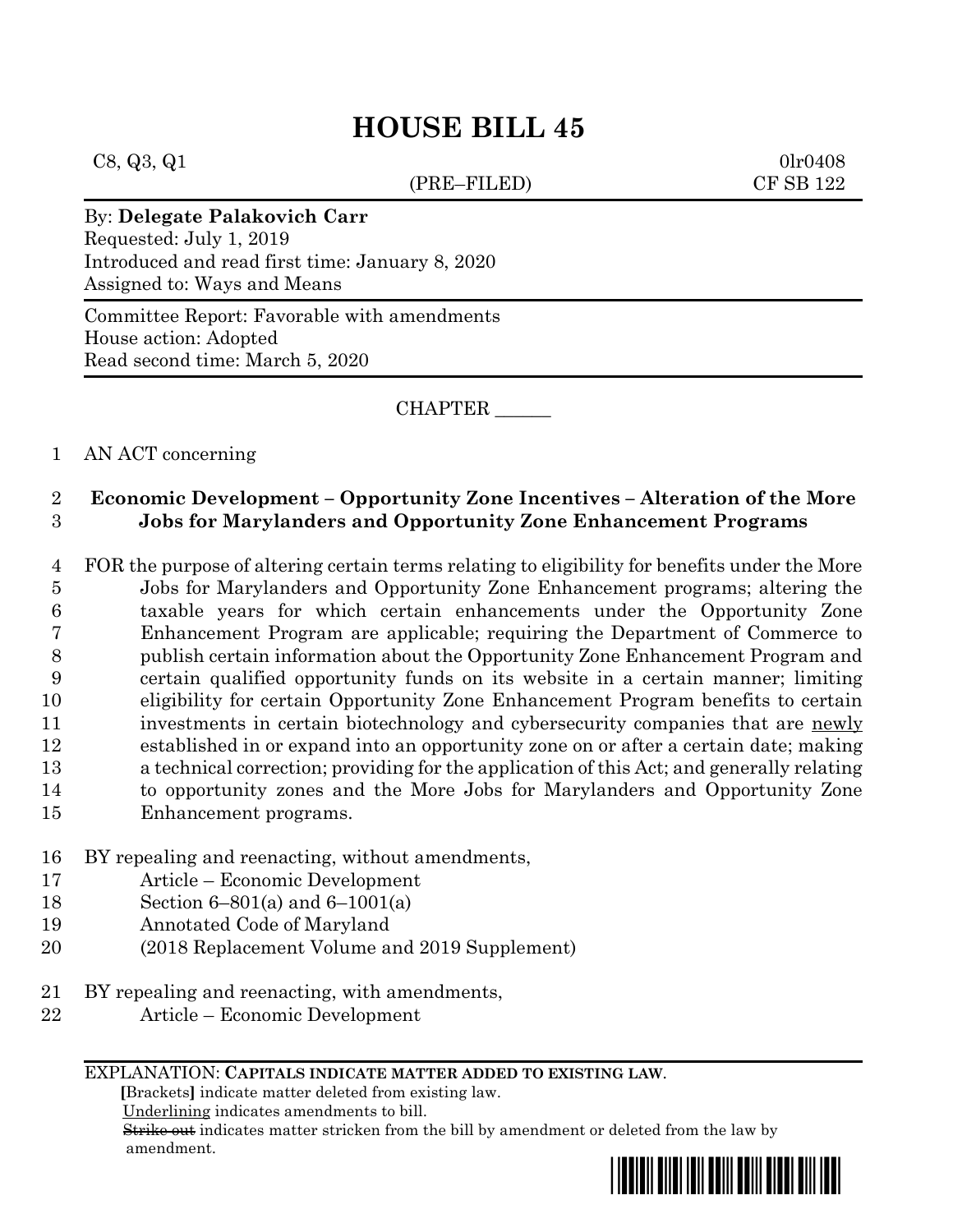$C8, Q3, Q1$  0lr0408

(PRE–FILED) CF SB 122

### By: **Delegate Palakovich Carr**

Requested: July 1, 2019 Introduced and read first time: January 8, 2020 Assigned to: Ways and Means

Committee Report: Favorable with amendments House action: Adopted Read second time: March 5, 2020

CHAPTER \_\_\_\_\_\_

### 1 AN ACT concerning

### 2 **Economic Development – Opportunity Zone Incentives – Alteration of the More**  3 **Jobs for Marylanders and Opportunity Zone Enhancement Programs**

 FOR the purpose of altering certain terms relating to eligibility for benefits under the More Jobs for Marylanders and Opportunity Zone Enhancement programs; altering the taxable years for which certain enhancements under the Opportunity Zone Enhancement Program are applicable; requiring the Department of Commerce to publish certain information about the Opportunity Zone Enhancement Program and certain qualified opportunity funds on its website in a certain manner; limiting eligibility for certain Opportunity Zone Enhancement Program benefits to certain 11 investments in certain biotechnology and cybersecurity companies that are newly established in or expand into an opportunity zone on or after a certain date; making a technical correction; providing for the application of this Act; and generally relating to opportunity zones and the More Jobs for Marylanders and Opportunity Zone Enhancement programs.

- 16 BY repealing and reenacting, without amendments,
- 17 Article Economic Development
- 18 Section 6–801(a) and 6–1001(a)
- 19 Annotated Code of Maryland
- 20 (2018 Replacement Volume and 2019 Supplement)
- 21 BY repealing and reenacting, with amendments,
- 22 Article Economic Development

#### EXPLANATION: **CAPITALS INDICATE MATTER ADDED TO EXISTING LAW**.

 **[**Brackets**]** indicate matter deleted from existing law.

Underlining indicates amendments to bill.

 Strike out indicates matter stricken from the bill by amendment or deleted from the law by amendment.

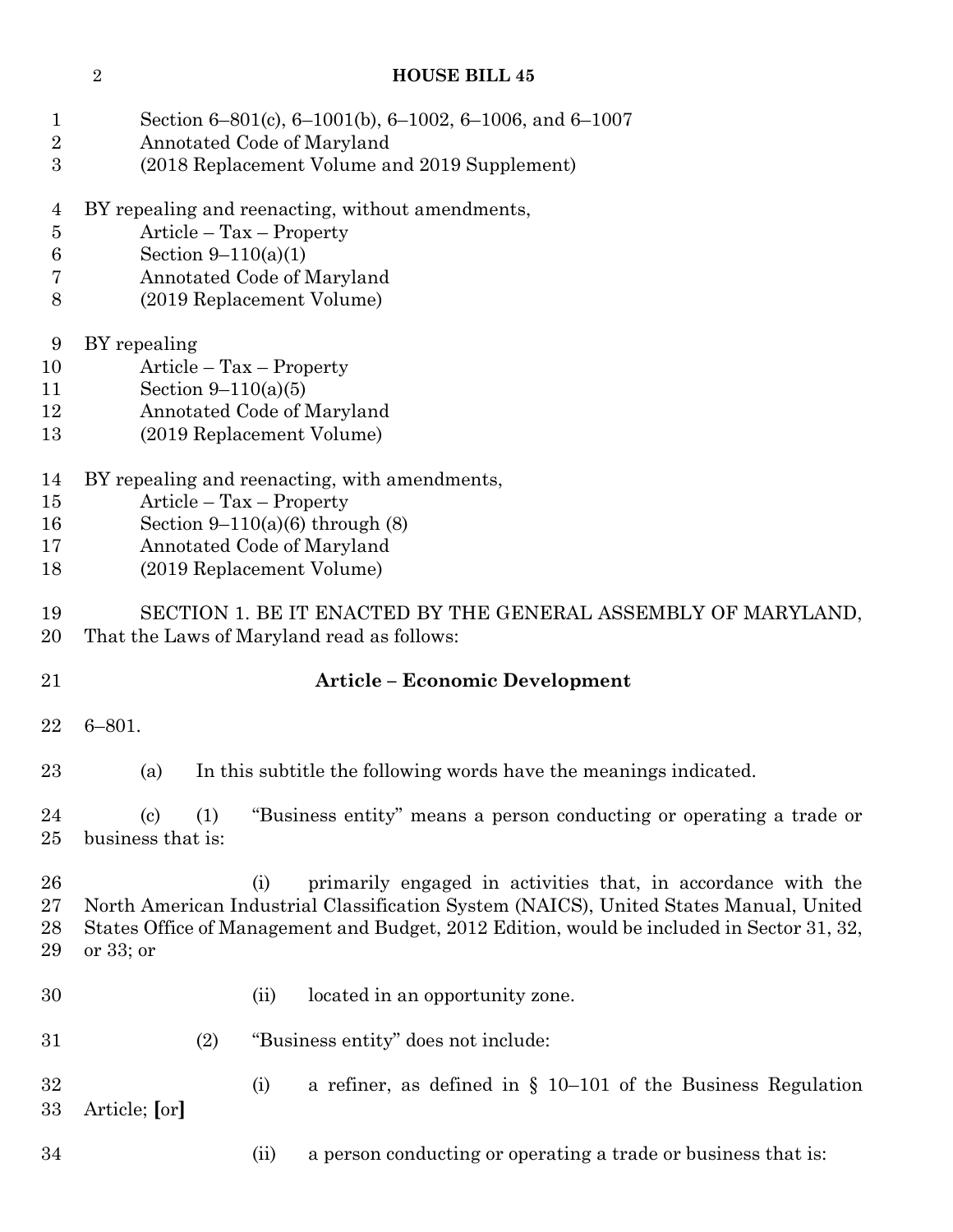| $\mathbf{1}$<br>$\overline{2}$<br>3 | Section 6-801(c), 6-1001(b), 6-1002, 6-1006, and 6-1007<br>Annotated Code of Maryland<br>(2018 Replacement Volume and 2019 Supplement)                                                                                                                                    |
|-------------------------------------|---------------------------------------------------------------------------------------------------------------------------------------------------------------------------------------------------------------------------------------------------------------------------|
| 4<br>$\overline{5}$<br>6<br>7<br>8  | BY repealing and reenacting, without amendments,<br>Article – Tax – Property<br>Section $9-110(a)(1)$<br>Annotated Code of Maryland<br>(2019 Replacement Volume)                                                                                                          |
| 9<br>10<br>11<br>$12\,$<br>13       | BY repealing<br>$Article - Tax - Property$<br>Section $9-110(a)(5)$<br>Annotated Code of Maryland<br>(2019 Replacement Volume)                                                                                                                                            |
| 14<br>15<br>16<br>17<br>18          | BY repealing and reenacting, with amendments,<br>$Article - Tax - Property$<br>Section $9-110(a)(6)$ through $(8)$<br>Annotated Code of Maryland<br>(2019 Replacement Volume)                                                                                             |
| 19<br>$20\,$                        | SECTION 1. BE IT ENACTED BY THE GENERAL ASSEMBLY OF MARYLAND,<br>That the Laws of Maryland read as follows:                                                                                                                                                               |
| 21                                  | <b>Article - Economic Development</b>                                                                                                                                                                                                                                     |
| 22                                  | $6 - 801.$                                                                                                                                                                                                                                                                |
| $23\,$                              | In this subtitle the following words have the meanings indicated.<br>(a)                                                                                                                                                                                                  |
| 24<br>25                            | $\left( \mathrm{c}\right)$<br>(1)<br>"Business entity" means a person conducting or operating a trade or<br>business that is:                                                                                                                                             |
| 26<br>$27\,$<br>28<br>29            | primarily engaged in activities that, in accordance with the<br>(i)<br>North American Industrial Classification System (NAICS), United States Manual, United<br>States Office of Management and Budget, 2012 Edition, would be included in Sector 31, 32,<br>or $33$ ; or |
| 30                                  | located in an opportunity zone.<br>(ii)                                                                                                                                                                                                                                   |
| 31                                  | (2)<br>"Business entity" does not include:                                                                                                                                                                                                                                |
| 32<br>33                            | a refiner, as defined in $\S$ 10–101 of the Business Regulation<br>(i)<br>Article; [or]                                                                                                                                                                                   |
| 34                                  | (ii)<br>a person conducting or operating a trade or business that is:                                                                                                                                                                                                     |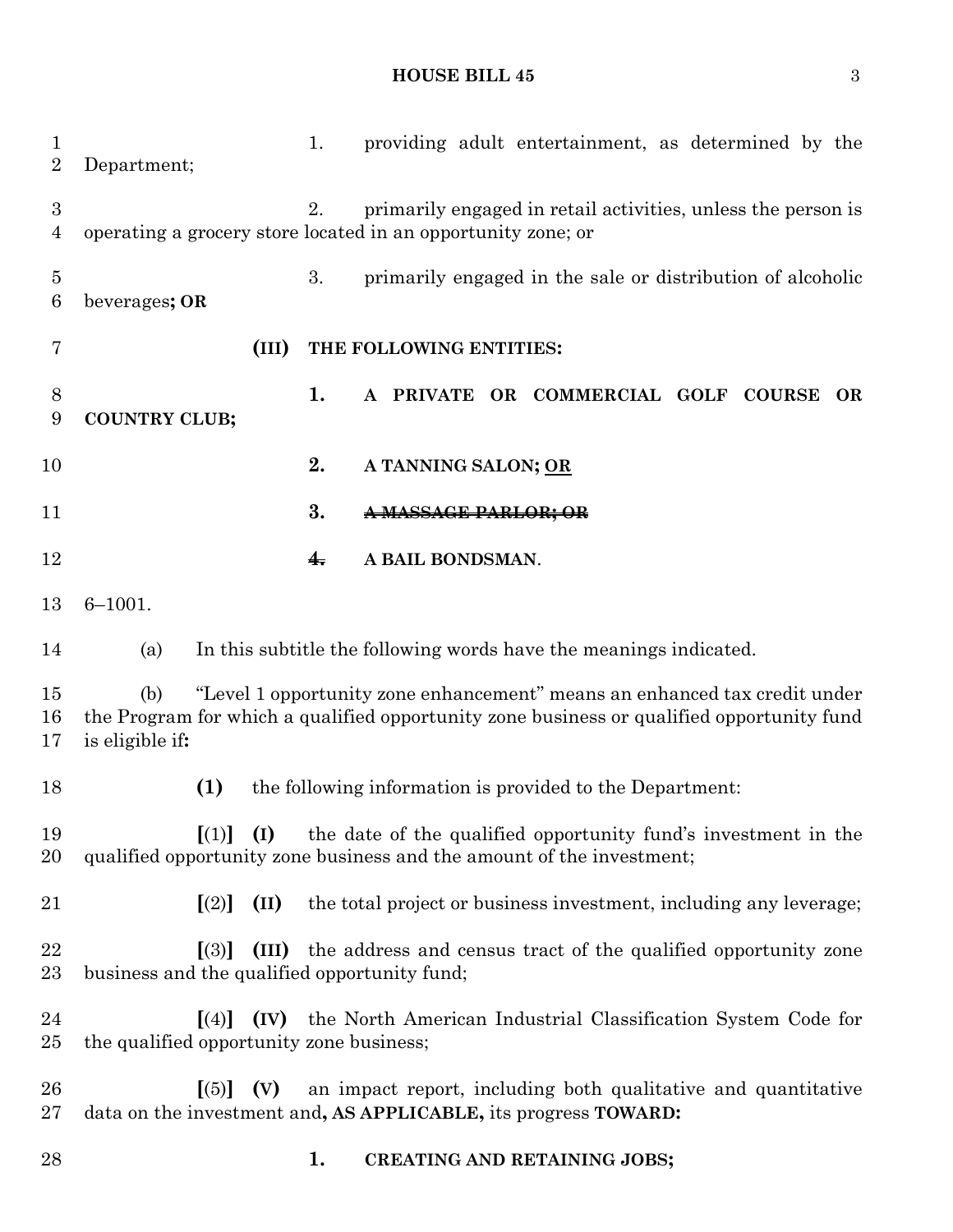# **HOUSE BILL 45** 3

| $\mathbf 1$<br>$\overline{2}$ | providing adult entertainment, as determined by the<br>1.<br>Department;                                                                                                                         |
|-------------------------------|--------------------------------------------------------------------------------------------------------------------------------------------------------------------------------------------------|
| 3<br>4                        | 2.<br>primarily engaged in retail activities, unless the person is<br>operating a grocery store located in an opportunity zone; or                                                               |
| $\overline{5}$<br>6           | 3.<br>primarily engaged in the sale or distribution of alcoholic<br>beverages; OR                                                                                                                |
| 7                             | (III)<br>THE FOLLOWING ENTITIES:                                                                                                                                                                 |
| 8<br>9                        | 1.<br>A PRIVATE OR COMMERCIAL GOLF COURSE<br><b>OR</b><br><b>COUNTRY CLUB;</b>                                                                                                                   |
| 10                            | 2.<br>A TANNING SALON; OR                                                                                                                                                                        |
| 11                            | 3.<br><del>AASSAGE PARLOR: OR</del>                                                                                                                                                              |
| 12                            | A BAIL BONDSMAN.<br>$\frac{4}{1}$                                                                                                                                                                |
| 13                            | $6 - 1001.$                                                                                                                                                                                      |
| 14                            | In this subtitle the following words have the meanings indicated.<br>(a)                                                                                                                         |
| 15<br>16<br>17                | "Level 1 opportunity zone enhancement" means an enhanced tax credit under<br>(b)<br>the Program for which a qualified opportunity zone business or qualified opportunity fund<br>is eligible if: |
| 18                            | (1)<br>the following information is provided to the Department:                                                                                                                                  |
| 19<br>20                      | $[(1)]$ $(I)$<br>the date of the qualified opportunity fund's investment in the<br>qualified opportunity zone business and the amount of the investment;                                         |
| 21                            | (II)<br>the total project or business investment, including any leverage;<br>$\left[ (2) \right]$                                                                                                |
| 22<br>23                      | (III) the address and census tract of the qualified opportunity zone<br>$\lceil(3)\rceil$<br>business and the qualified opportunity fund;                                                        |
| 24<br>25                      | the North American Industrial Classification System Code for<br>$\lceil(4)\rceil$<br>(IV)<br>the qualified opportunity zone business;                                                            |
| 26<br>27                      | $\left[ (5) \right]$ (V)<br>an impact report, including both qualitative and quantitative<br>data on the investment and, AS APPLICABLE, its progress TOWARD:                                     |
| 28                            | 1.<br><b>CREATING AND RETAINING JOBS;</b>                                                                                                                                                        |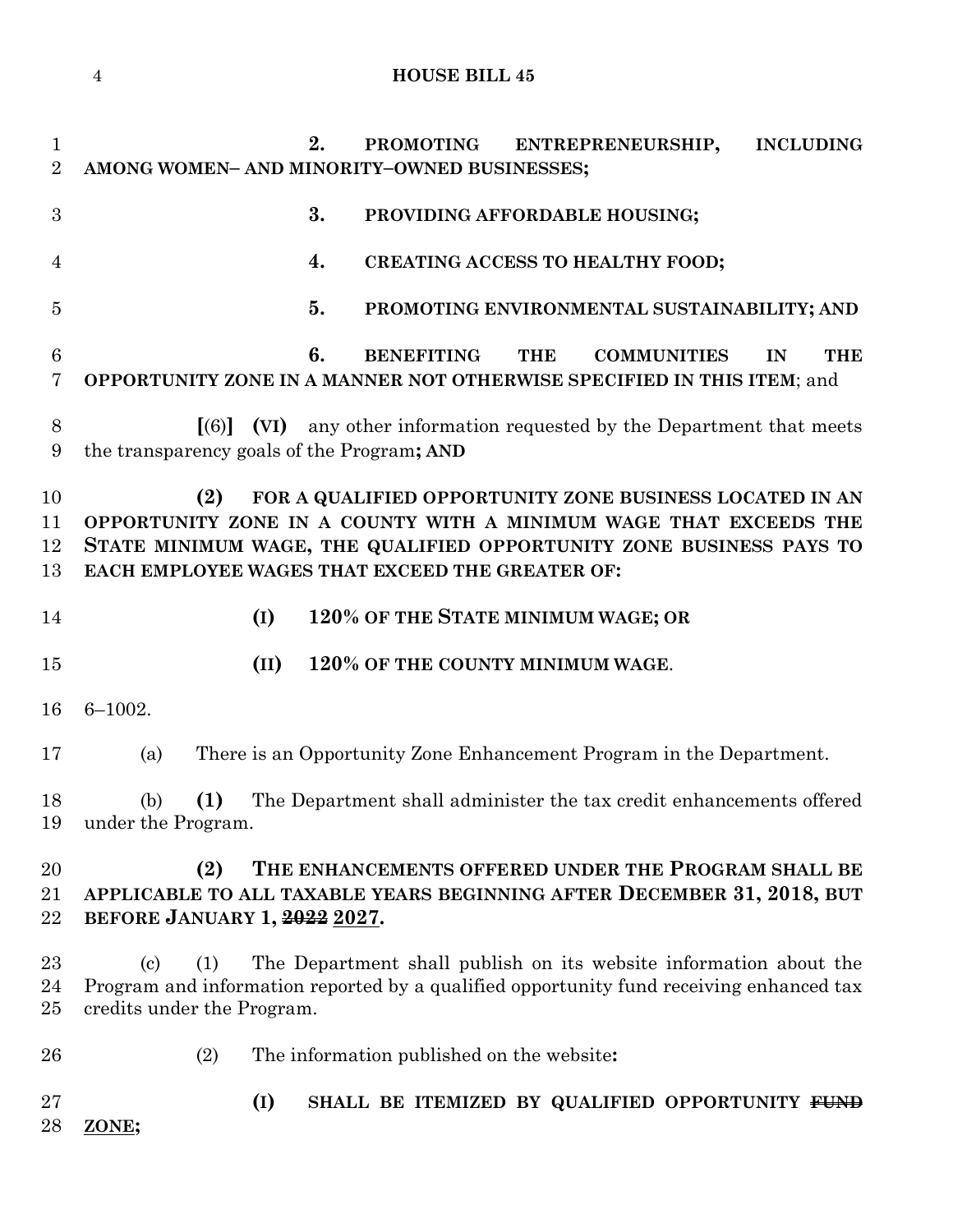**2. PROMOTING ENTREPRENEURSHIP, INCLUDING AMONG WOMEN– AND MINORITY–OWNED BUSINESSES; 3. PROVIDING AFFORDABLE HOUSING; 4. CREATING ACCESS TO HEALTHY FOOD; 5. PROMOTING ENVIRONMENTAL SUSTAINABILITY; AND 6. BENEFITING THE COMMUNITIES IN THE OPPORTUNITY ZONE IN A MANNER NOT OTHERWISE SPECIFIED IN THIS ITEM**; and **[**(6)**] (VI)** any other information requested by the Department that meets the transparency goals of the Program**; AND (2) FOR A QUALIFIED OPPORTUNITY ZONE BUSINESS LOCATED IN AN OPPORTUNITY ZONE IN A COUNTY WITH A MINIMUM WAGE THAT EXCEEDS THE STATE MINIMUM WAGE, THE QUALIFIED OPPORTUNITY ZONE BUSINESS PAYS TO EACH EMPLOYEE WAGES THAT EXCEED THE GREATER OF: (I) 120% OF THE STATE MINIMUM WAGE; OR (II) 120% OF THE COUNTY MINIMUM WAGE**. 6–1002. (a) There is an Opportunity Zone Enhancement Program in the Department. (b) **(1)** The Department shall administer the tax credit enhancements offered under the Program. **(2) THE ENHANCEMENTS OFFERED UNDER THE PROGRAM SHALL BE APPLICABLE TO ALL TAXABLE YEARS BEGINNING AFTER DECEMBER 31, 2018, BUT BEFORE JANUARY 1, 2022 2027.** (c) (1) The Department shall publish on its website information about the Program and information reported by a qualified opportunity fund receiving enhanced tax credits under the Program. (2) The information published on the website**: (I) SHALL BE ITEMIZED BY QUALIFIED OPPORTUNITY FUND ZONE;**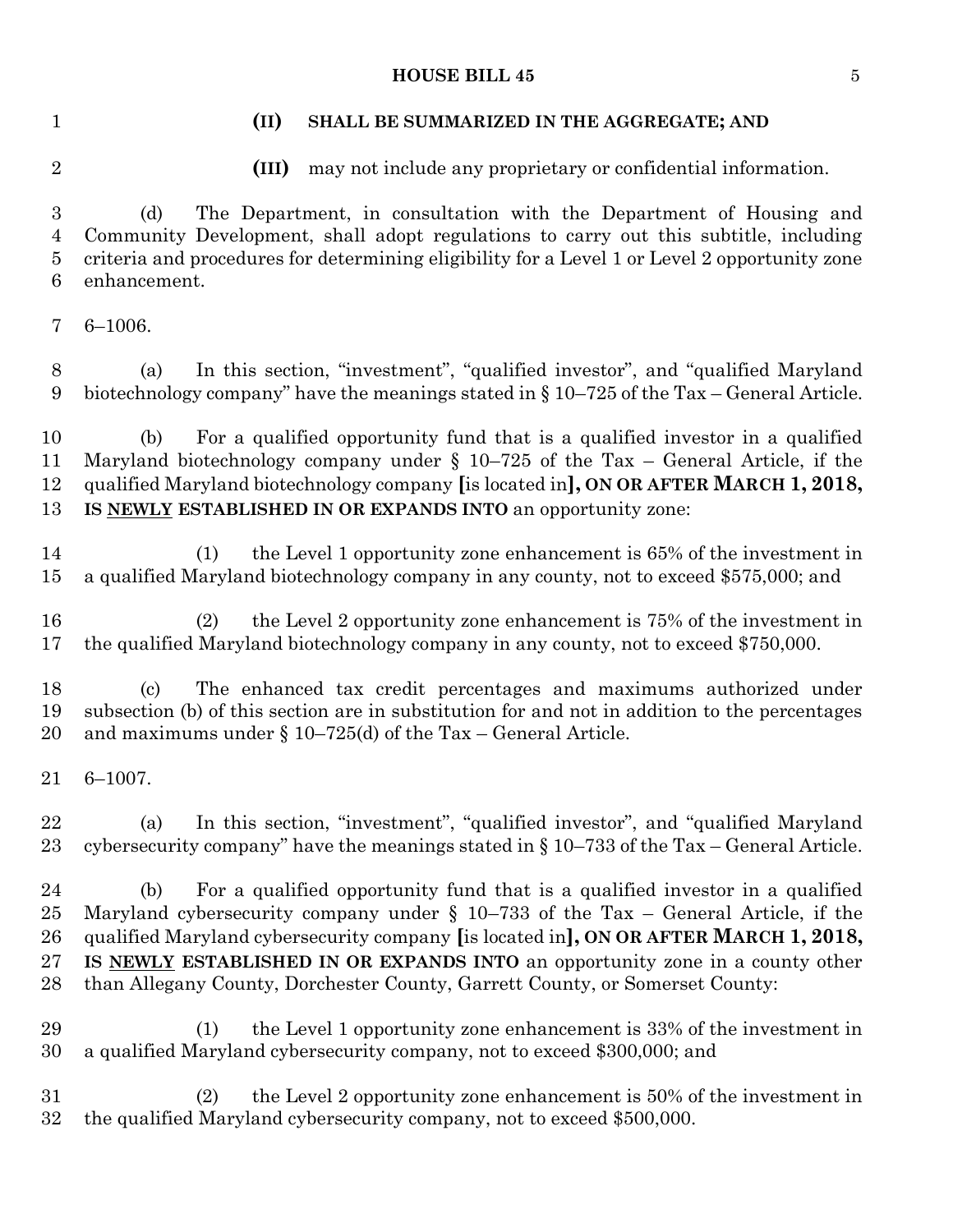#### **HOUSE BILL 45** 5

#### **(II) SHALL BE SUMMARIZED IN THE AGGREGATE; AND**

**(III)** may not include any proprietary or confidential information.

 (d) The Department, in consultation with the Department of Housing and Community Development, shall adopt regulations to carry out this subtitle, including criteria and procedures for determining eligibility for a Level 1 or Level 2 opportunity zone enhancement.

6–1006.

 (a) In this section, "investment", "qualified investor", and "qualified Maryland biotechnology company" have the meanings stated in § 10–725 of the Tax – General Article.

 (b) For a qualified opportunity fund that is a qualified investor in a qualified Maryland biotechnology company under § 10–725 of the Tax – General Article, if the qualified Maryland biotechnology company **[**is located in**], ON OR AFTER MARCH 1, 2018, IS NEWLY ESTABLISHED IN OR EXPANDS INTO** an opportunity zone:

 (1) the Level 1 opportunity zone enhancement is 65% of the investment in a qualified Maryland biotechnology company in any county, not to exceed \$575,000; and

 (2) the Level 2 opportunity zone enhancement is 75% of the investment in the qualified Maryland biotechnology company in any county, not to exceed \$750,000.

 (c) The enhanced tax credit percentages and maximums authorized under subsection (b) of this section are in substitution for and not in addition to the percentages 20 and maximums under  $\S 10-725$  (d) of the Tax – General Article.

6–1007.

 (a) In this section, "investment", "qualified investor", and "qualified Maryland cybersecurity company" have the meanings stated in § 10–733 of the Tax – General Article.

 (b) For a qualified opportunity fund that is a qualified investor in a qualified Maryland cybersecurity company under § 10–733 of the Tax – General Article, if the qualified Maryland cybersecurity company **[**is located in**], ON OR AFTER MARCH 1, 2018, IS NEWLY ESTABLISHED IN OR EXPANDS INTO** an opportunity zone in a county other than Allegany County, Dorchester County, Garrett County, or Somerset County:

 (1) the Level 1 opportunity zone enhancement is 33% of the investment in a qualified Maryland cybersecurity company, not to exceed \$300,000; and

 (2) the Level 2 opportunity zone enhancement is 50% of the investment in the qualified Maryland cybersecurity company, not to exceed \$500,000.